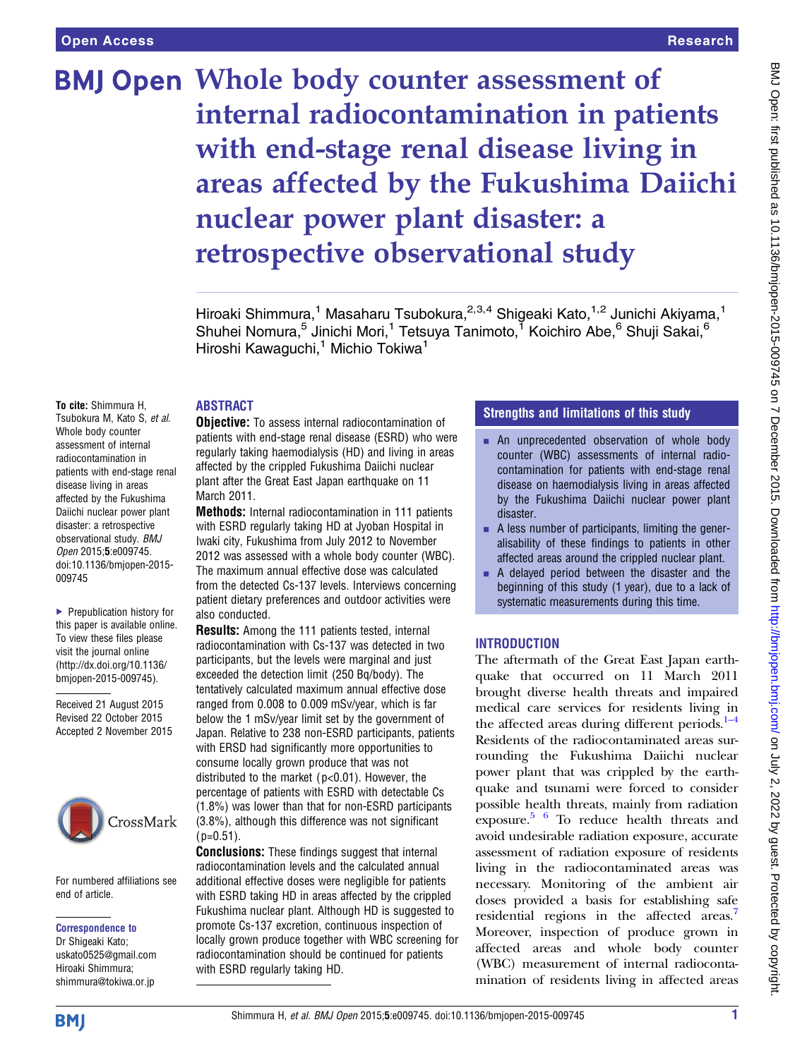# BMJ Open Whole body counter assessment of internal radiocontamination in patients with end-stage renal disease living in areas affected by the Fukushima Daiichi nuclear power plant disaster: a retrospective observational study

Hiroaki Shimmura,<sup>1</sup> Masaharu Tsubokura,<sup>2,3,4</sup> Shigeaki Kato,<sup>1,2</sup> Junichi Akiyama,<sup>1</sup> Shuhei Nomura,<sup>5</sup> Jinichi Mori,<sup>1</sup> Tetsuya Tanimoto,<sup>1</sup> Koichiro Abe,<sup>6</sup> Shuji Sakai,<sup>6</sup> Hiroshi Kawaguchi,<sup>1</sup> Michio Tokiwa<sup>1</sup>

# ABSTRACT

To cite: Shimmura H, Tsubokura M, Kato S, et al. Whole body counter assessment of internal radiocontamination in patients with end-stage renal disease living in areas affected by the Fukushima Daiichi nuclear power plant disaster: a retrospective observational study. BMJ Open 2015;5:e009745. doi:10.1136/bmjopen-2015- 009745

▶ Prepublication history for this paper is available online. To view these files please visit the journal online [\(http://dx.doi.org/10.1136/](http://dx.doi.org/10.1136/bmjopen-2015-009745) [bmjopen-2015-009745](http://dx.doi.org/10.1136/bmjopen-2015-009745)).

Received 21 August 2015 Revised 22 October 2015 Accepted 2 November 2015



For numbered affiliations see end of article.

# Correspondence to

Dr Shigeaki Kato; uskato0525@gmail.com Hiroaki Shimmura; shimmura@tokiwa.or.jp

**Objective:** To assess internal radiocontamination of patients with end-stage renal disease (ESRD) who were regularly taking haemodialysis (HD) and living in areas affected by the crippled Fukushima Daiichi nuclear plant after the Great East Japan earthquake on 11 March 2011.

Methods: Internal radiocontamination in 111 patients with ESRD regularly taking HD at Jyoban Hospital in Iwaki city, Fukushima from July 2012 to November 2012 was assessed with a whole body counter (WBC). The maximum annual effective dose was calculated from the detected Cs-137 levels. Interviews concerning patient dietary preferences and outdoor activities were also conducted.

Results: Among the 111 patients tested, internal radiocontamination with Cs-137 was detected in two participants, but the levels were marginal and just exceeded the detection limit (250 Bq/body). The tentatively calculated maximum annual effective dose ranged from 0.008 to 0.009 mSv/year, which is far below the 1 mSv/year limit set by the government of Japan. Relative to 238 non-ESRD participants, patients with ERSD had significantly more opportunities to consume locally grown produce that was not distributed to the market ( p<0.01). However, the percentage of patients with ESRD with detectable Cs (1.8%) was lower than that for non-ESRD participants (3.8%), although this difference was not significant  $(p=0.51)$ .

**Conclusions:** These findings suggest that internal radiocontamination levels and the calculated annual additional effective doses were negligible for patients with ESRD taking HD in areas affected by the crippled Fukushima nuclear plant. Although HD is suggested to promote Cs-137 excretion, continuous inspection of locally grown produce together with WBC screening for radiocontamination should be continued for patients with ESRD regularly taking HD.

# Strengths and limitations of this study

- $\blacksquare$  An unprecedented observation of whole body counter (WBC) assessments of internal radiocontamination for patients with end-stage renal disease on haemodialysis living in areas affected by the Fukushima Daiichi nuclear power plant disaster.
- $\blacksquare$  A less number of participants, limiting the generalisability of these findings to patients in other affected areas around the crippled nuclear plant.
- $\blacksquare$  A delayed period between the disaster and the beginning of this study (1 year), due to a lack of systematic measurements during this time.

# INTRODUCTION

The aftermath of the Great East Japan earthquake that occurred on 11 March 2011 brought diverse health threats and impaired medical care services for residents living in the affected areas during different periods. $1-4$ Residents of the radiocontaminated areas surrounding the Fukushima Daiichi nuclear power plant that was crippled by the earthquake and tsunami were forced to consider possible health threats, mainly from radiation exposure. [5 6](#page-4-0) To reduce health threats and avoid undesirable radiation exposure, accurate assessment of radiation exposure of residents living in the radiocontaminated areas was necessary. Monitoring of the ambient air doses provided a basis for establishing safe residential regions in the affected areas.<sup>7</sup> Moreover, inspection of produce grown in affected areas and whole body counter (WBC) measurement of internal radiocontamination of residents living in affected areas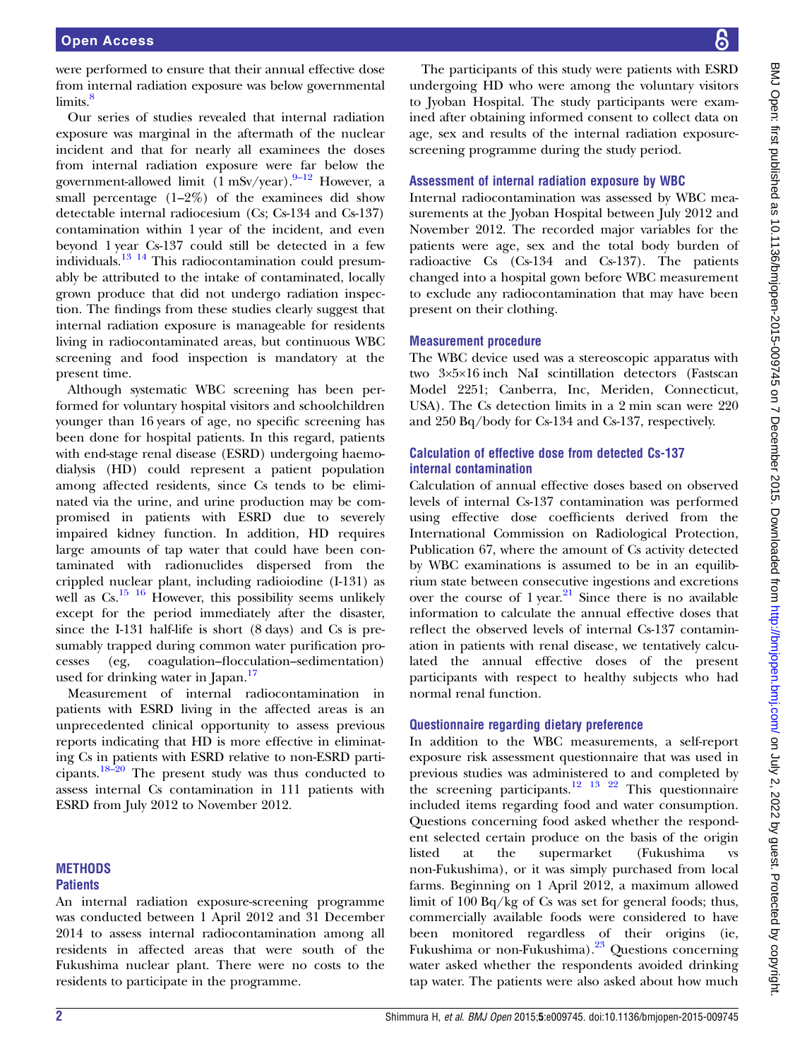were performed to ensure that their annual effective dose from internal radiation exposure was below governmental limits.<sup>8</sup>

Our series of studies revealed that internal radiation exposure was marginal in the aftermath of the nuclear incident and that for nearly all examinees the doses from internal radiation exposure were far below the government-allowed limit  $(1 \text{ mSv/year})$ . <sup>9–[12](#page-4-0)</sup> However, a small percentage  $(1-2\%)$  of the examinees did show detectable internal radiocesium (Cs; Cs-134 and Cs-137) contamination within 1 year of the incident, and even beyond 1 year Cs-137 could still be detected in a few individuals.[13 14](#page-4-0) This radiocontamination could presumably be attributed to the intake of contaminated, locally grown produce that did not undergo radiation inspection. The findings from these studies clearly suggest that internal radiation exposure is manageable for residents living in radiocontaminated areas, but continuous WBC screening and food inspection is mandatory at the present time.

Although systematic WBC screening has been performed for voluntary hospital visitors and schoolchildren younger than 16 years of age, no specific screening has been done for hospital patients. In this regard, patients with end-stage renal disease (ESRD) undergoing haemodialysis (HD) could represent a patient population among affected residents, since Cs tends to be eliminated via the urine, and urine production may be compromised in patients with ESRD due to severely impaired kidney function. In addition, HD requires large amounts of tap water that could have been contaminated with radionuclides dispersed from the crippled nuclear plant, including radioiodine (I-131) as well as  $Cs$ .<sup>[15 16](#page-4-0)</sup> However, this possibility seems unlikely except for the period immediately after the disaster, since the I-131 half-life is short (8 days) and Cs is presumably trapped during common water purification processes (eg, coagulation–flocculation–sedimentation) used for drinking water in Japan. $17$ 

Measurement of internal radiocontamination in patients with ESRD living in the affected areas is an unprecedented clinical opportunity to assess previous reports indicating that HD is more effective in eliminating Cs in patients with ESRD relative to non-ESRD participants.18–[20](#page-4-0) The present study was thus conducted to assess internal Cs contamination in 111 patients with ESRD from July 2012 to November 2012.

#### **METHODS Patients**

An internal radiation exposure-screening programme was conducted between 1 April 2012 and 31 December 2014 to assess internal radiocontamination among all residents in affected areas that were south of the Fukushima nuclear plant. There were no costs to the residents to participate in the programme.

The participants of this study were patients with ESRD undergoing HD who were among the voluntary visitors to Jyoban Hospital. The study participants were examined after obtaining informed consent to collect data on age, sex and results of the internal radiation exposurescreening programme during the study period.

# Assessment of internal radiation exposure by WBC

Internal radiocontamination was assessed by WBC measurements at the Jyoban Hospital between July 2012 and November 2012. The recorded major variables for the patients were age, sex and the total body burden of radioactive Cs (Cs-134 and Cs-137). The patients changed into a hospital gown before WBC measurement to exclude any radiocontamination that may have been present on their clothing.

# Measurement procedure

The WBC device used was a stereoscopic apparatus with two 3×5×16 inch NaI scintillation detectors (Fastscan Model 2251; Canberra, Inc, Meriden, Connecticut, USA). The Cs detection limits in a 2 min scan were 220 and 250 Bq/body for Cs-134 and Cs-137, respectively.

# Calculation of effective dose from detected Cs-137 internal contamination

Calculation of annual effective doses based on observed levels of internal Cs-137 contamination was performed using effective dose coefficients derived from the International Commission on Radiological Protection, Publication 67, where the amount of Cs activity detected by WBC examinations is assumed to be in an equilibrium state between consecutive ingestions and excretions over the course of  $1$  year.<sup>[21](#page-4-0)</sup> Since there is no available information to calculate the annual effective doses that reflect the observed levels of internal Cs-137 contamination in patients with renal disease, we tentatively calculated the annual effective doses of the present participants with respect to healthy subjects who had normal renal function.

# Questionnaire regarding dietary preference

In addition to the WBC measurements, a self-report exposure risk assessment questionnaire that was used in previous studies was administered to and completed by the screening participants.<sup>[12 13 22](#page-4-0)</sup> This questionnaire included items regarding food and water consumption. Questions concerning food asked whether the respondent selected certain produce on the basis of the origin listed at the supermarket (Fukushima vs non-Fukushima), or it was simply purchased from local farms. Beginning on 1 April 2012, a maximum allowed limit of 100 Bq/kg of Cs was set for general foods; thus, commercially available foods were considered to have been monitored regardless of their origins (ie, Fukushima or non-Fukushima). $23$  Questions concerning water asked whether the respondents avoided drinking tap water. The patients were also asked about how much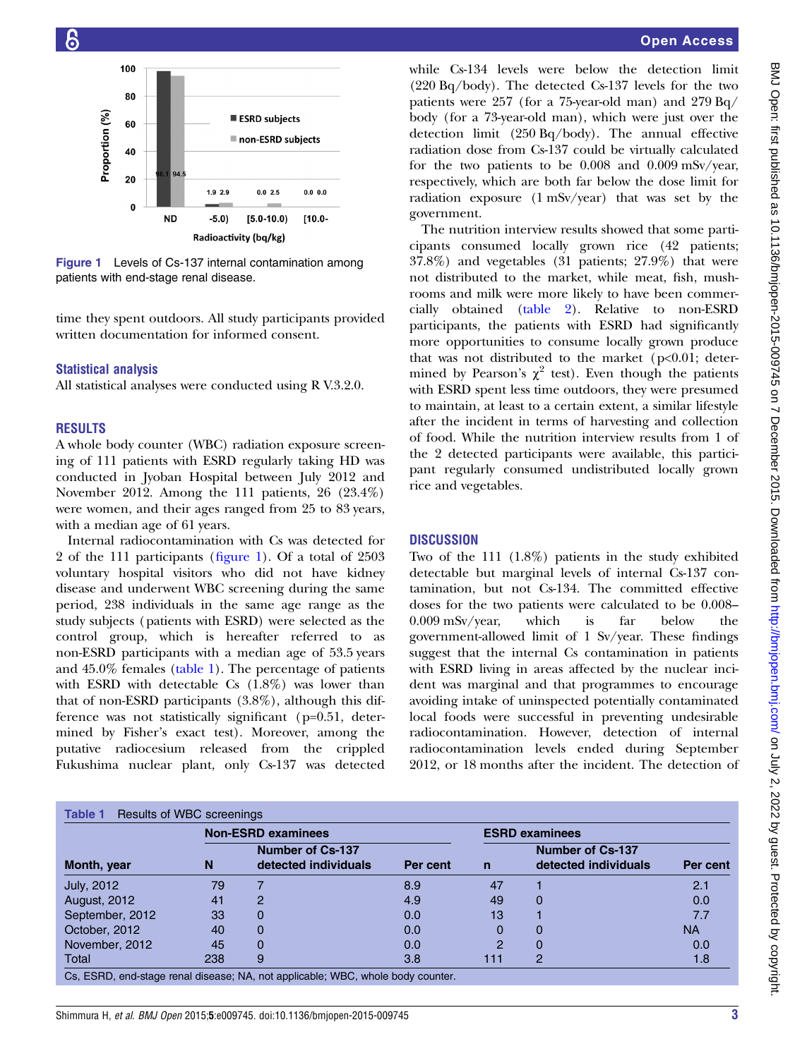<span id="page-2-0"></span>

Figure 1 Levels of Cs-137 internal contamination among patients with end-stage renal disease.

time they spent outdoors. All study participants provided written documentation for informed consent.

#### Statistical analysis

All statistical analyses were conducted using R V.3.2.0.

#### RESULTS

A whole body counter (WBC) radiation exposure screening of 111 patients with ESRD regularly taking HD was conducted in Jyoban Hospital between July 2012 and November 2012. Among the 111 patients, 26 (23.4%) were women, and their ages ranged from 25 to 83 years, with a median age of 61 years.

Internal radiocontamination with Cs was detected for 2 of the 111 participants (figure 1). Of a total of 2503 voluntary hospital visitors who did not have kidney disease and underwent WBC screening during the same period, 238 individuals in the same age range as the study subjects (patients with ESRD) were selected as the control group, which is hereafter referred to as non-ESRD participants with a median age of 53.5 years and 45.0% females (table 1). The percentage of patients with ESRD with detectable Cs  $(1.8\%)$  was lower than that of non-ESRD participants (3.8%), although this difference was not statistically significant (p=0.51, determined by Fisher's exact test). Moreover, among the putative radiocesium released from the crippled Fukushima nuclear plant, only Cs-137 was detected

while Cs-134 levels were below the detection limit (220 Bq/body). The detected Cs-137 levels for the two patients were 257 (for a 75-year-old man) and  $279$  Bq/ body (for a 73-year-old man), which were just over the detection limit (250 Bq/body). The annual effective radiation dose from Cs-137 could be virtually calculated for the two patients to be 0.008 and 0.009 mSv/year, respectively, which are both far below the dose limit for radiation exposure (1 mSv/year) that was set by the government.

The nutrition interview results showed that some participants consumed locally grown rice (42 patients; 37.8%) and vegetables (31 patients; 27.9%) that were not distributed to the market, while meat, fish, mushrooms and milk were more likely to have been commercially obtained ([table 2](#page-3-0)). Relative to non-ESRD participants, the patients with ESRD had significantly more opportunities to consume locally grown produce that was not distributed to the market ( $p<0.01$ ; determined by Pearson's  $\chi^2$  test). Even though the patients with ESRD spent less time outdoors, they were presumed to maintain, at least to a certain extent, a similar lifestyle after the incident in terms of harvesting and collection of food. While the nutrition interview results from 1 of the 2 detected participants were available, this participant regularly consumed undistributed locally grown rice and vegetables.

#### **DISCUSSION**

Two of the 111 (1.8%) patients in the study exhibited detectable but marginal levels of internal Cs-137 contamination, but not Cs-134. The committed effective doses for the two patients were calculated to be 0.008– 0.009 mSv/year, which is far below the government-allowed limit of 1 Sv/year. These findings suggest that the internal Cs contamination in patients with ESRD living in areas affected by the nuclear incident was marginal and that programmes to encourage avoiding intake of uninspected potentially contaminated local foods were successful in preventing undesirable radiocontamination. However, detection of internal radiocontamination levels ended during September 2012, or 18 months after the incident. The detection of

| Month, year         | <b>Non-ESRD examinees</b> |                                                 |          | <b>ESRD examinees</b> |                                                 |           |
|---------------------|---------------------------|-------------------------------------------------|----------|-----------------------|-------------------------------------------------|-----------|
|                     | N                         | <b>Number of Cs-137</b><br>detected individuals | Per cent | $\mathsf{n}$          | <b>Number of Cs-137</b><br>detected individuals | Per cent  |
| July, 2012          | 79                        |                                                 | 8.9      | 47                    |                                                 | 2.1       |
| <b>August, 2012</b> | 41                        | 2                                               | 4.9      | 49                    |                                                 | 0.0       |
| September, 2012     | 33                        | 0                                               | 0.0      | 13                    |                                                 | 7.7       |
| October, 2012       | 40                        | 0                                               | 0.0      | 0                     |                                                 | <b>NA</b> |
| November, 2012      | 45                        | 0                                               | 0.0      | 2                     |                                                 | 0.0       |
| Total               | 238                       | 9                                               | 3.8      | 111                   | 2                                               | 1.8       |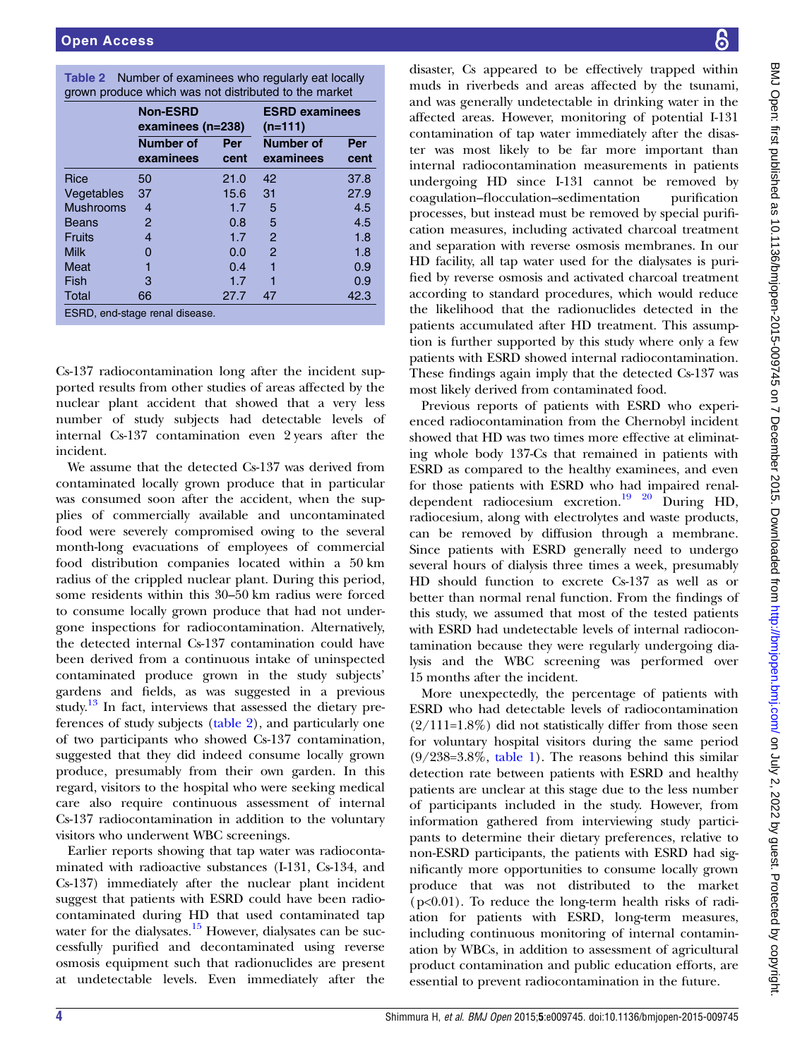<span id="page-3-0"></span>

| <b>Table 2</b> Number of examinees who regularly eat locally |
|--------------------------------------------------------------|
| grown produce which was not distributed to the market        |

|                                | <b>Non-ESRD</b><br>examinees (n=238) |      | <b>ESRD examinees</b><br>$(n=111)$ |      |  |  |  |
|--------------------------------|--------------------------------------|------|------------------------------------|------|--|--|--|
|                                | <b>Number of</b>                     | Per  | <b>Number of</b>                   | Per  |  |  |  |
|                                | examinees                            | cent | examinees                          | cent |  |  |  |
| Rice                           | 50                                   | 21.0 | 42                                 | 37.8 |  |  |  |
| Vegetables                     | 37                                   | 15.6 | 31                                 | 27.9 |  |  |  |
| <b>Mushrooms</b>               | 4                                    | 1.7  | 5                                  | 4.5  |  |  |  |
| Beans                          | 2                                    | 0.8  | 5                                  | 4.5  |  |  |  |
| Fruits                         | 4                                    | 1.7  | 2                                  | 1.8  |  |  |  |
| <b>Milk</b>                    | Ω                                    | 0.0  | 2                                  | 1.8  |  |  |  |
| Meat                           | 1                                    | 0.4  |                                    | 0.9  |  |  |  |
| Fish                           | 3                                    | 1.7  |                                    | 0.9  |  |  |  |
| Total                          | 66                                   | 27.7 | 47                                 | 42.3 |  |  |  |
| ESRD, end-stage renal disease. |                                      |      |                                    |      |  |  |  |

Cs-137 radiocontamination long after the incident supported results from other studies of areas affected by the nuclear plant accident that showed that a very less number of study subjects had detectable levels of internal Cs-137 contamination even 2 years after the incident.

We assume that the detected Cs-137 was derived from contaminated locally grown produce that in particular was consumed soon after the accident, when the supplies of commercially available and uncontaminated food were severely compromised owing to the several month-long evacuations of employees of commercial food distribution companies located within a 50 km radius of the crippled nuclear plant. During this period, some residents within this 30–50 km radius were forced to consume locally grown produce that had not undergone inspections for radiocontamination. Alternatively, the detected internal Cs-137 contamination could have been derived from a continuous intake of uninspected contaminated produce grown in the study subjects' gardens and fields, as was suggested in a previous study.<sup>[13](#page-4-0)</sup> In fact, interviews that assessed the dietary preferences of study subjects (table 2), and particularly one of two participants who showed Cs-137 contamination, suggested that they did indeed consume locally grown produce, presumably from their own garden. In this regard, visitors to the hospital who were seeking medical care also require continuous assessment of internal Cs-137 radiocontamination in addition to the voluntary visitors who underwent WBC screenings.

Earlier reports showing that tap water was radiocontaminated with radioactive substances (I-131, Cs-134, and Cs-137) immediately after the nuclear plant incident suggest that patients with ESRD could have been radiocontaminated during HD that used contaminated tap water for the dialysates.<sup>[15](#page-4-0)</sup> However, dialysates can be successfully purified and decontaminated using reverse osmosis equipment such that radionuclides are present at undetectable levels. Even immediately after the

disaster, Cs appeared to be effectively trapped within muds in riverbeds and areas affected by the tsunami, and was generally undetectable in drinking water in the affected areas. However, monitoring of potential I-131 contamination of tap water immediately after the disaster was most likely to be far more important than internal radiocontamination measurements in patients undergoing HD since I-131 cannot be removed by coagulation–flocculation–sedimentation purification processes, but instead must be removed by special purification measures, including activated charcoal treatment and separation with reverse osmosis membranes. In our HD facility, all tap water used for the dialysates is purified by reverse osmosis and activated charcoal treatment according to standard procedures, which would reduce the likelihood that the radionuclides detected in the patients accumulated after HD treatment. This assumption is further supported by this study where only a few patients with ESRD showed internal radiocontamination. These findings again imply that the detected Cs-137 was most likely derived from contaminated food.

Previous reports of patients with ESRD who experienced radiocontamination from the Chernobyl incident showed that HD was two times more effective at eliminating whole body 137-Cs that remained in patients with ESRD as compared to the healthy examinees, and even for those patients with ESRD who had impaired renaldependent radiocesium excretion.[19 20](#page-4-0) During HD, radiocesium, along with electrolytes and waste products, can be removed by diffusion through a membrane. Since patients with ESRD generally need to undergo several hours of dialysis three times a week, presumably HD should function to excrete Cs-137 as well as or better than normal renal function. From the findings of this study, we assumed that most of the tested patients with ESRD had undetectable levels of internal radiocontamination because they were regularly undergoing dialysis and the WBC screening was performed over 15 months after the incident.

More unexpectedly, the percentage of patients with ESRD who had detectable levels of radiocontamination  $(2/111=1.8\%)$  did not statistically differ from those seen for voluntary hospital visitors during the same period  $(9/238=3.8\%$ , [table 1](#page-2-0)). The reasons behind this similar detection rate between patients with ESRD and healthy patients are unclear at this stage due to the less number of participants included in the study. However, from information gathered from interviewing study participants to determine their dietary preferences, relative to non-ESRD participants, the patients with ESRD had significantly more opportunities to consume locally grown produce that was not distributed to the market  $(p<0.01)$ . To reduce the long-term health risks of radiation for patients with ESRD, long-term measures, including continuous monitoring of internal contamination by WBCs, in addition to assessment of agricultural product contamination and public education efforts, are essential to prevent radiocontamination in the future.